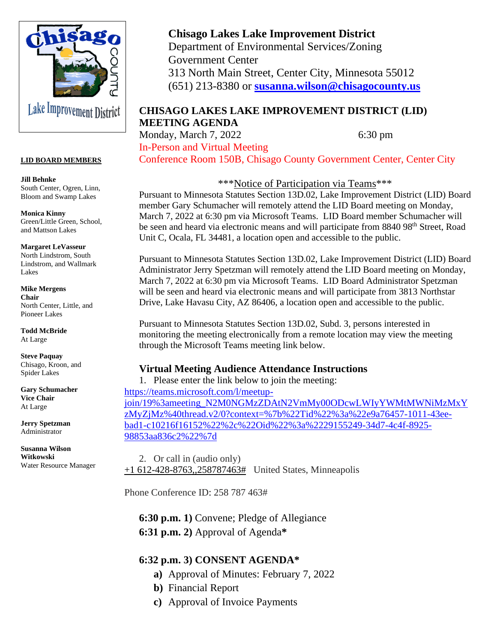

#### **LID BOARD MEMBERS**

**Jill Behnke** South Center, Ogren, Linn, Bloom and Swamp Lakes

**Monica Kinny** Green/Little Green, School, and Mattson Lakes

**Margaret LeVasseur** North Lindstrom, South Lindstrom, and Wallmark Lakes

**Mike Mergens Chair** North Center, Little, and Pioneer Lakes

**Todd McBride** At Large

**Steve Paquay** Chisago, Kroon, and Spider Lakes

**Gary Schumacher Vice Chair** At Large

**Jerry Spetzman** Administrator

**Susanna Wilson Witkowski** Water Resource Manager

# **Chisago Lakes Lake Improvement District**

Department of Environmental Services/Zoning Government Center 313 North Main Street, Center City, Minnesota 55012 (651) 213-8380 or **[susanna.wilson@chisagocounty.us](mailto:susanna.wilson@cisagoo.chisago.mn.us)**

### **CHISAGO LAKES LAKE IMPROVEMENT DISTRICT (LID) MEETING AGENDA**

Monday, March 7, 2022 6:30 pm In-Person and Virtual Meeting

Conference Room 150B, Chisago County Government Center, Center City

\*\*\*Notice of Participation via Teams\*\*\*

Pursuant to Minnesota Statutes Section 13D.02, Lake Improvement District (LID) Board member Gary Schumacher will remotely attend the LID Board meeting on Monday, March 7, 2022 at 6:30 pm via Microsoft Teams. LID Board member Schumacher will be seen and heard via electronic means and will participate from 8840 98<sup>th</sup> Street, Road Unit C, Ocala, FL 34481, a location open and accessible to the public.

Pursuant to Minnesota Statutes Section 13D.02, Lake Improvement District (LID) Board Administrator Jerry Spetzman will remotely attend the LID Board meeting on Monday, March 7, 2022 at 6:30 pm via Microsoft Teams. LID Board Administrator Spetzman will be seen and heard via electronic means and will participate from 3813 Northstar Drive, Lake Havasu City, AZ 86406, a location open and accessible to the public.

Pursuant to Minnesota Statutes Section 13D.02, Subd. 3, persons interested in monitoring the meeting electronically from a remote location may view the meeting through the Microsoft Teams meeting link below.

## **Virtual Meeting Audience Attendance Instructions**

1. Please enter the link below to join the meeting: [https://teams.microsoft.com/l/meetup](https://teams.microsoft.com/l/meetup-join/19%3ameeting_N2M0NGMzZDAtN2VmMy00ODcwLWIyYWMtMWNiMzMxYzMyZjMz%40thread.v2/0?context=%7b%22Tid%22%3a%22e9a76457-1011-43ee-bad1-c10216f16152%22%2c%22Oid%22%3a%2229155249-34d7-4c4f-8925-98853aa836c2%22%7d)[join/19%3ameeting\\_N2M0NGMzZDAtN2VmMy00ODcwLWIyYWMtMWNiMzMxY](https://teams.microsoft.com/l/meetup-join/19%3ameeting_N2M0NGMzZDAtN2VmMy00ODcwLWIyYWMtMWNiMzMxYzMyZjMz%40thread.v2/0?context=%7b%22Tid%22%3a%22e9a76457-1011-43ee-bad1-c10216f16152%22%2c%22Oid%22%3a%2229155249-34d7-4c4f-8925-98853aa836c2%22%7d) [zMyZjMz%40thread.v2/0?context=%7b%22Tid%22%3a%22e9a76457-1011-43ee](https://teams.microsoft.com/l/meetup-join/19%3ameeting_N2M0NGMzZDAtN2VmMy00ODcwLWIyYWMtMWNiMzMxYzMyZjMz%40thread.v2/0?context=%7b%22Tid%22%3a%22e9a76457-1011-43ee-bad1-c10216f16152%22%2c%22Oid%22%3a%2229155249-34d7-4c4f-8925-98853aa836c2%22%7d)[bad1-c10216f16152%22%2c%22Oid%22%3a%2229155249-34d7-4c4f-8925-](https://teams.microsoft.com/l/meetup-join/19%3ameeting_N2M0NGMzZDAtN2VmMy00ODcwLWIyYWMtMWNiMzMxYzMyZjMz%40thread.v2/0?context=%7b%22Tid%22%3a%22e9a76457-1011-43ee-bad1-c10216f16152%22%2c%22Oid%22%3a%2229155249-34d7-4c4f-8925-98853aa836c2%22%7d) [98853aa836c2%22%7d](https://teams.microsoft.com/l/meetup-join/19%3ameeting_N2M0NGMzZDAtN2VmMy00ODcwLWIyYWMtMWNiMzMxYzMyZjMz%40thread.v2/0?context=%7b%22Tid%22%3a%22e9a76457-1011-43ee-bad1-c10216f16152%22%2c%22Oid%22%3a%2229155249-34d7-4c4f-8925-98853aa836c2%22%7d)

2. Or call in (audio only) [+1 612-428-8763,,258787463#](tel:+16124288763,,258787463# ) United States, Minneapolis

Phone Conference ID: 258 787 463#

**6:30 p.m. 1)** Convene; Pledge of Allegiance **6:31 p.m. 2)** Approval of Agenda**\*** 

## **6:32 p.m. 3) CONSENT AGENDA\***

- **a)** Approval of Minutes: February 7, 2022
- **b)** Financial Report
- **c)** Approval of Invoice Payments